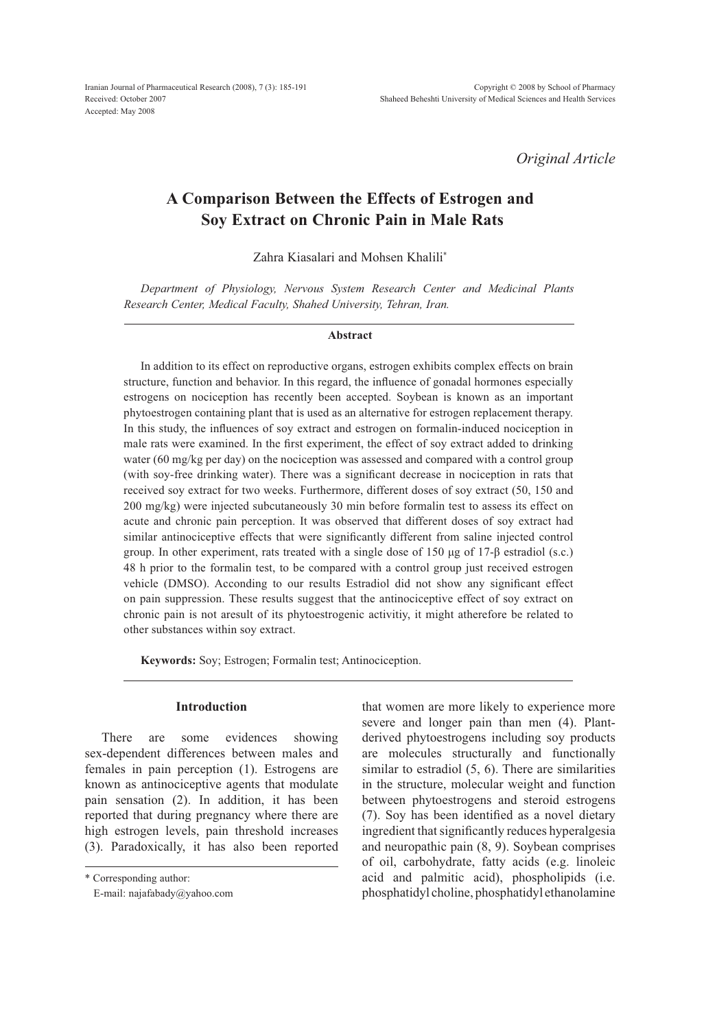Iranian Journal of Pharmaceutical Research (2008), 7 (3): 185-191 Received: October 2007 Accented: May 2008

*Original Article*

# **A Comparison Between the Effects of Estrogen and Soy Extract on Chronic Pain in Male Rats**

Zahra Kiasalari and Mohsen Khalili\*

*Department of Physiology, Nervous System Research Center and Medicinal Plants Research Center, Medical Faculty, Shahed University, Tehran, Iran.*

#### **Abstract**

In addition to its effect on reproductive organs, estrogen exhibits complex effects on brain structure, function and behavior. In this regard, the influence of gonadal hormones especially estrogens on nociception has recently been accepted. Soybean is known as an important phytoestrogen containing plant that is used as an alternative for estrogen replacement therapy. In this study, the influences of soy extract and estrogen on formalin-induced nociception in male rats were examined. In the first experiment, the effect of soy extract added to drinking water  $(60 \text{ mg/kg} \text{ per day})$  on the nociception was assessed and compared with a control group (with soy-free drinking water). There was a significant decrease in nociception in rats that received sov extract for two weeks. Furthermore, different doses of sov extract (50, 150 and  $200 \text{ mg/kg}$ ) were injected subcutaneously 30 min before formalin test to assess its effect on acute and chronic pain perception. It was observed that different doses of soy extract had similar antinociceptive effects that were significantly different from saline injected control group. In other experiment, rats treated with a single dose of 150  $\mu$ g of 17- $\beta$  estradiol (s.c.) 48 h prior to the formalin test, to be compared with a control group just received estrogen vehicle (DMSO). Acconding to our results Estradiol did not show any significant effect on pain suppression. These results suggest that the antinociceptive effect of soy extract on chronic pain is not aresult of its phytoestrogenic activitiy, it might atherefore be related to other substances within soy extract.

**Keywords:** Soy; Estrogen; Formalin test; Antinociception.

# **Introduction**

There are some evidences showing sex-dependent differences between males and females in pain perception (1). Estrogens are known as antinociceptive agents that modulate pain sensation  $(2)$ . In addition, it has been reported that during pregnancy where there are high estrogen levels, pain threshold increases (3). Paradoxically, it has also been reported

\* Corresponding author:

that women are more likely to experience more severe and longer pain than men (4). Plantderived phytoestrogens including soy products are molecules structurally and functionally similar to estradiol  $(5, 6)$ . There are similarities in the structure, molecular weight and function between phytoestrogens and steroid estrogens  $(7)$ . Soy has been identified as a novel dietary ingredient that significantly reduces hyperalgesia and neuropathic pain  $(8, 9)$ . Soybean comprises of oil, carbohydrate, fatty acids (e.g. linoleic acid and palmitic acid), phospholipids (i.e. phosphatidyl choline, phosphatidyl ethanolamine

E-mail: najafabady@yahoo.com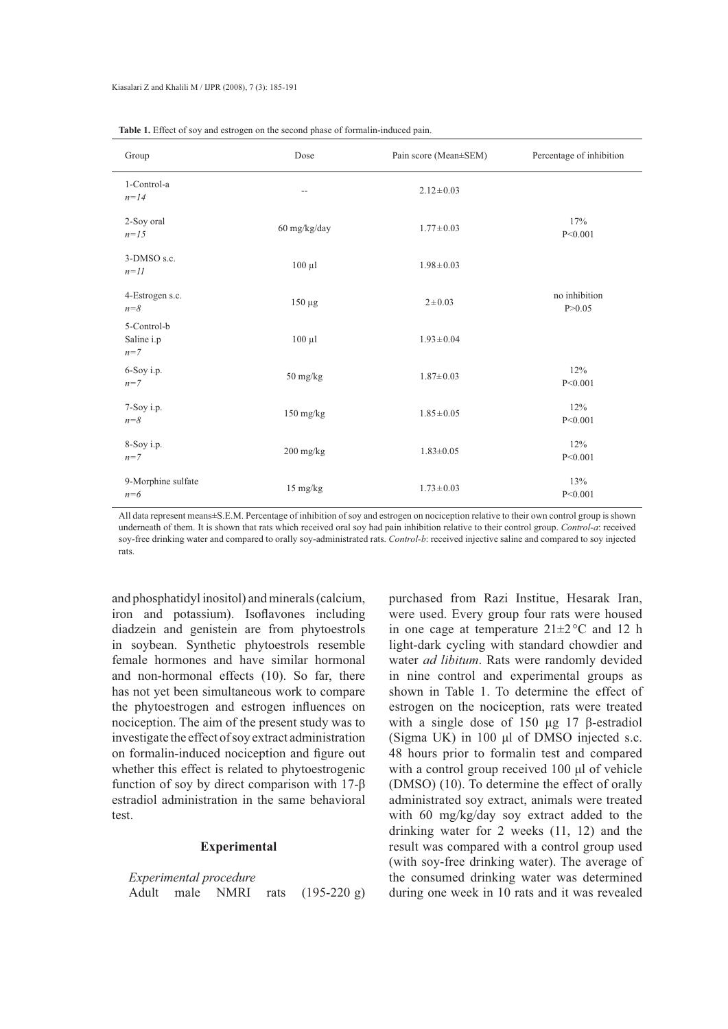| Group                              | Dose                     | Pain score (Mean±SEM) | Percentage of inhibition  |
|------------------------------------|--------------------------|-----------------------|---------------------------|
| 1-Control-a<br>$n=14$              | $\overline{\phantom{a}}$ | $2.12 \pm 0.03$       |                           |
| 2-Soy oral<br>$n=15$               | 60 mg/kg/day             | $1.77 \pm 0.03$       | 17%<br>P<0.001            |
| 3-DMSO s.c.<br>$n=11$              | $100 \mu l$              | $1.98 \pm 0.03$       |                           |
| 4-Estrogen s.c.<br>$n = 8$         | $150 \mu g$              | $2 + 0.03$            | no inhibition<br>P > 0.05 |
| 5-Control-b<br>Saline i.p<br>$n=7$ | $100 \mu l$              | $1.93 \pm 0.04$       |                           |
| 6-Soy i.p.<br>$n=7$                | 50 mg/kg                 | $1.87 \pm 0.03$       | 12%<br>P<0.001            |
| 7-Soy i.p.<br>$n = 8$              | $150$ mg/kg              | $1.85 \pm 0.05$       | 12%<br>P<0.001            |
| 8-Soy i.p.<br>$n=7$                | $200$ mg/kg              | $1.83 \pm 0.05$       | 12%<br>P<0.001            |
| 9-Morphine sulfate<br>$n=6$        | $15 \text{ mg/kg}$       | $1.73 \pm 0.03$       | 13%<br>P < 0.001          |

| Table 1. Effect of soy and estrogen on the second phase of formalin-induced pain. |  |
|-----------------------------------------------------------------------------------|--|
|-----------------------------------------------------------------------------------|--|

All data represent means±S.E.M. Percentage of inhibition of soy and estrogen on nociception relative to their own control group is shown underneath of them. It is shown that rats which received oral soy had pain inhibition relative to their control group. Control-a: received soy-free drinking water and compared to orally soy-administrated rats. Control-b: received injective saline and compared to soy injected rats.

and phosphatidyl inositol) and minerals (calcium, iron and potassium). Isoflavones including diadzein and genistein are from phytoestrols in soybean. Synthetic phytoestrols resemble female hormones and have similar hormonal and non-hormonal effects  $(10)$ . So far, there has not yet been simultaneous work to compare the phytoestrogen and estrogen influences on nociception. The aim of the present study was to investigate the effect of soy extract administration on formalin-induced nociception and figure out whether this effect is related to phytoestrogenic function of soy by direct comparison with  $17-\beta$ estradiol administration in the same behavioral test.

# **Experimental**

*Experimental procedure* Adult male NMRI rats  $(195-220 g)$  purchased from Razi Institue, Hesarak Iran, were used. Every group four rats were housed in one cage at temperature  $21 \pm 2$ °C and 12 h light-dark cycling with standard chowdier and water *ad libitum*. Rats were randomly devided in nine control and experimental groups as shown in Table 1. To determine the effect of estrogen on the nociception, rats were treated with a single dose of 150  $\mu$ g 17  $\beta$ -estradiol (Sigma UK) in  $100 \mu l$  of DMSO injected s.c. 48 hours prior to formalin test and compared with a control group received 100 µl of vehicle  $(DMSO)$  (10). To determine the effect of orally administrated soy extract, animals were treated with 60 mg/kg/day soy extract added to the drinking water for 2 weeks  $(11, 12)$  and the result was compared with a control group used (with soy-free drinking water). The average of the consumed drinking water was determined during one week in 10 rats and it was revealed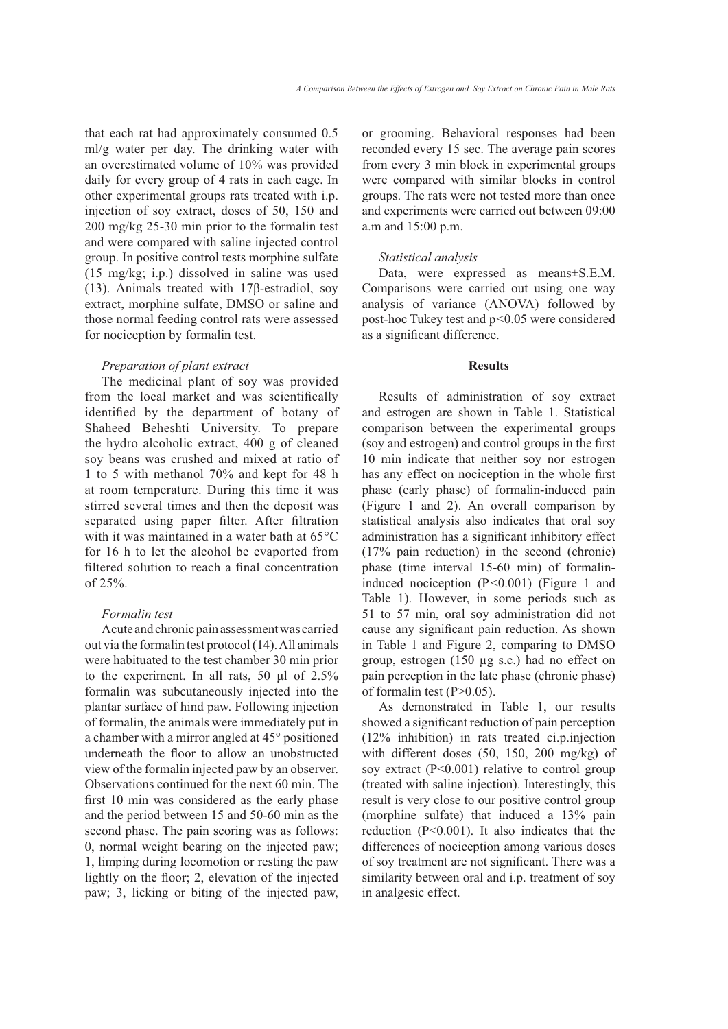that each rat had approximately consumed  $0.5$ ml/g water per day. The drinking water with an overestimated volume of  $10\%$  was provided daily for every group of 4 rats in each cage. In other experimental groups rats treated with i.p. injection of soy extract, doses of  $50$ , 150 and  $200 \text{ mg/kg}$  25-30 min prior to the formalin test and were compared with saline injected control group. In positive control tests morphine sulfate  $(15 \text{ mg/kg}; i.p.)$  dissolved in saline was used  $(13)$ . Animals treated with 17B-estradiol, sov extract, morphine sulfate, DMSO or saline and those normal feeding control rats were assessed for nociception by formalin test.

## *Preparation of plant extract*

The medicinal plant of soy was provided from the local market and was scientifically identified by the department of botany of Shaheed Beheshti University. To prepare the hydro alcoholic extract,  $400 \text{ g}$  of cleaned soy beans was crushed and mixed at ratio of 1 to 5 with methanol  $70\%$  and kept for 48 h at room temperature. During this time it was stirred several times and then the deposit was separated using paper filter. After filtration with it was maintained in a water bath at  $65^{\circ}$ C for 16 h to let the alcohol be evaported from filtered solution to reach a final concentration of  $25%$ .

# *Formalin test*

Acute and chronic pain assessment was carried out via the formal in test protocol  $(14)$ . All animals were habituated to the test chamber 30 min prior to the experiment. In all rats, 50  $\mu$ l of 2.5% formalin was subcutaneously injected into the plantar surface of hind paw. Following injection of formalin, the animals were immediately put in a chamber with a mirror angled at  $45^{\circ}$  positioned underneath the floor to allow an unobstructed view of the formal in injected paw by an observer. Observations continued for the next 60 min. The first 10 min was considered as the early phase and the period between  $15$  and  $50-60$  min as the second phase. The pain scoring was as follows:  $0$ , normal weight bearing on the injected paw; 1, limping during locomotion or resting the paw lightly on the floor; 2, elevation of the injected paw; 3, licking or biting of the injected paw, or grooming. Behavioral responses had been reconded every 15 sec. The average pain scores from every 3 min block in experimental groups were compared with similar blocks in control groups. The rats were not tested more than once and experiments were carried out between 09:00 a.m and  $15:00$  p.m.

### *Statistical analysis*

Data, were expressed as means±S.E.M. Comparisons were carried out using one way analysis of variance (ANOVA) followed by post-hoc Tukey test and  $p<0.05$  were considered as a significant difference.

# **Results**

Results of administration of soy extract and estrogen are shown in Table 1. Statistical comparison between the experimental groups (soy and estrogen) and control groups in the first 10 min indicate that neither soy nor estrogen has any effect on nociception in the whole first phase (early phase) of formal induced pain (Figure 1 and 2). An overall comparison by statistical analysis also indicates that oral soy administration has a significant inhibitory effect  $(17\%$  pain reduction) in the second (chronic) phase (time interval 15-60 min) of formalininduced nocicention  $(P<0.001)$  (Figure 1 and Table 1). However, in some periods such as 51 to 57 min, oral soy administration did not cause any significant pain reduction. As shown in Table 1 and Figure 2, comparing to DMSO group, estrogen  $(150 \mu g s.c.)$  had no effect on pain perception in the late phase (chronic phase) of formal in test  $(P>0.05)$ .

As demonstrated in Table 1, our results showed a significant reduction of pain perception  $(12\%$  inhibition) in rats treated ci.p.injection with different doses  $(50, 150, 200 \text{ mg/kg})$  of soy extract ( $P<0.001$ ) relative to control group (treated with saline injection). Interestingly, this result is very close to our positive control group (morphine sulfate) that induced a  $13\%$  pain reduction ( $P<0.001$ ). It also indicates that the differences of nociception among various doses of soy treatment are not significant. There was a similarity between oral and i.p. treatment of soy in analgesic effect.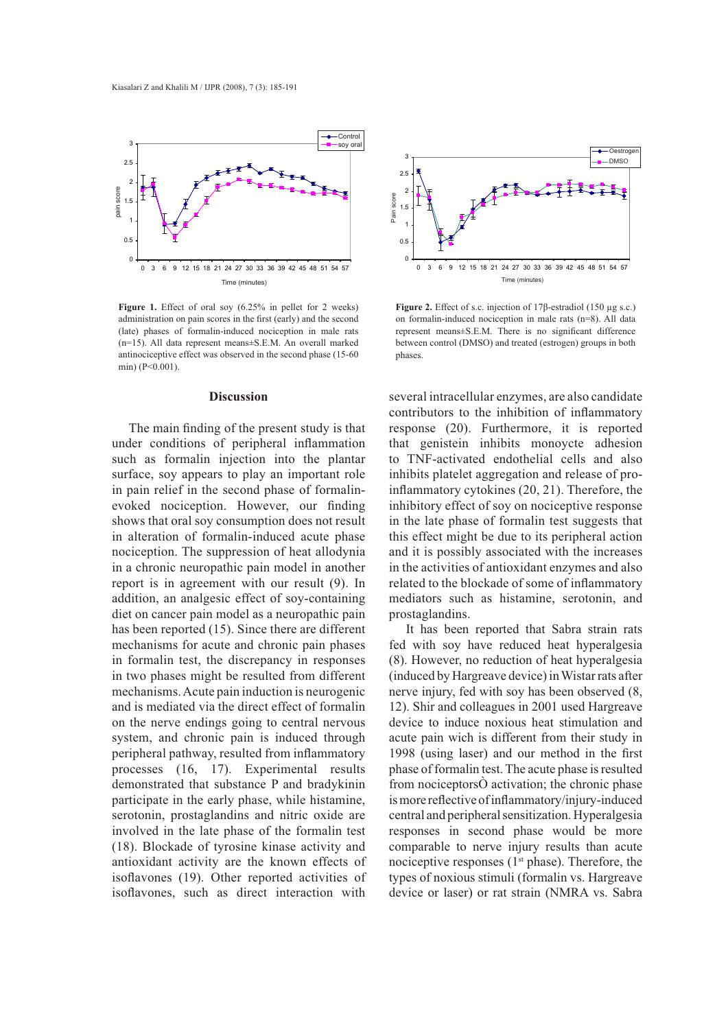

Figure 1. Effect of oral soy (6.25% in pellet for 2 weeks) administration on pain scores in the first (early) and the second (late) phases of formalin-induced nociception in male rats  $(n=15)$ . All data represent means $\pm$ S.E.M. An overall marked antinociceptive effect was observed in the second phase  $(15-60)$ min)  $(P<0.001)$ .

#### **Discussion**

The main finding of the present study is that under conditions of peripheral inflammation such as formalin injection into the plantar surface, soy appears to play an important role in pain relief in the second phase of formalinevoked nociception. However, our finding shows that oral soy consumption does not result in alteration of formalin-induced acute phase nociception. The suppression of heat allodynia in a chronic neuropathic pain model in another report is in agreement with our result (9). In addition, an analgesic effect of soy-containing diet on cancer pain model as a neuropathic pain has been reported  $(15)$ . Since there are different mechanisms for acute and chronic pain phases in formalin test, the discrepancy in responses in two phases might be resulted from different mechanisms. Acute pain induction is neurogenic and is mediated via the direct effect of formalin on the nerve endings going to central nervous system, and chronic pain is induced through peripheral pathway, resulted from inflammatory processes  $(16, 17)$ . Experimental results demonstrated that substance P and bradykinin participate in the early phase, while histamine, serotonin, prostaglandins and nitric oxide are involved in the late phase of the formalin test  $(18)$ . Blockade of tyrosine kinase activity and antioxidant activity are the known effects of isoflavones (19). Other reported activities of isoflavones, such as direct interaction with



**Figure 2.** Effect of s.c. injection of  $17\beta$ -estradiol (150 µg s.c.) on formalin-induced nociception in male rats  $(n=8)$ . All data represent means±S.E.M. There is no significant difference between control (DMSO) and treated (estrogen) groups in both phases.

several intracellular enzymes, are also candidate contributors to the inhibition of inflammatory response  $(20)$ . Furthermore, it is reported that genistein inhibits monoycte adhesion to TNF-activated endothelial cells and also inhibits platelet aggregation and release of proinflammatory cytokines  $(20, 21)$ . Therefore, the inhibitory effect of soy on nociceptive response in the late phase of formalin test suggests that this effect might be due to its peripheral action and it is possibly associated with the increases in the activities of antioxidant enzymes and also related to the blockade of some of inflammatory mediators such as histamine, serotonin, and prostaglandins.

It has been reported that Sabra strain rats fed with soy have reduced heat hyperalgesia  $(8)$ . However, no reduction of heat hyperalgesia  $(induced by Hargreave device)$  in Wistar rats after nerve injury, fed with soy has been observed  $(8, 8)$ 12). Shir and colleagues in 2001 used Hargreave device to induce noxious heat stimulation and acute pain wich is different from their study in 1998 (using laser) and our method in the first phase of formal in test. The acute phase is resulted from nociceptors $\dot{O}$  activation; the chronic phase is more reflective of inflammatory/injury-induced central and peripheral sensitization. Hyperalgesia responses in second phase would be more comparable to nerve injury results than acute nociceptive responses ( $1<sup>st</sup>$  phase). Therefore, the types of noxious stimuli (formalin vs. Hargreave device or laser) or rat strain (NMRA vs. Sabra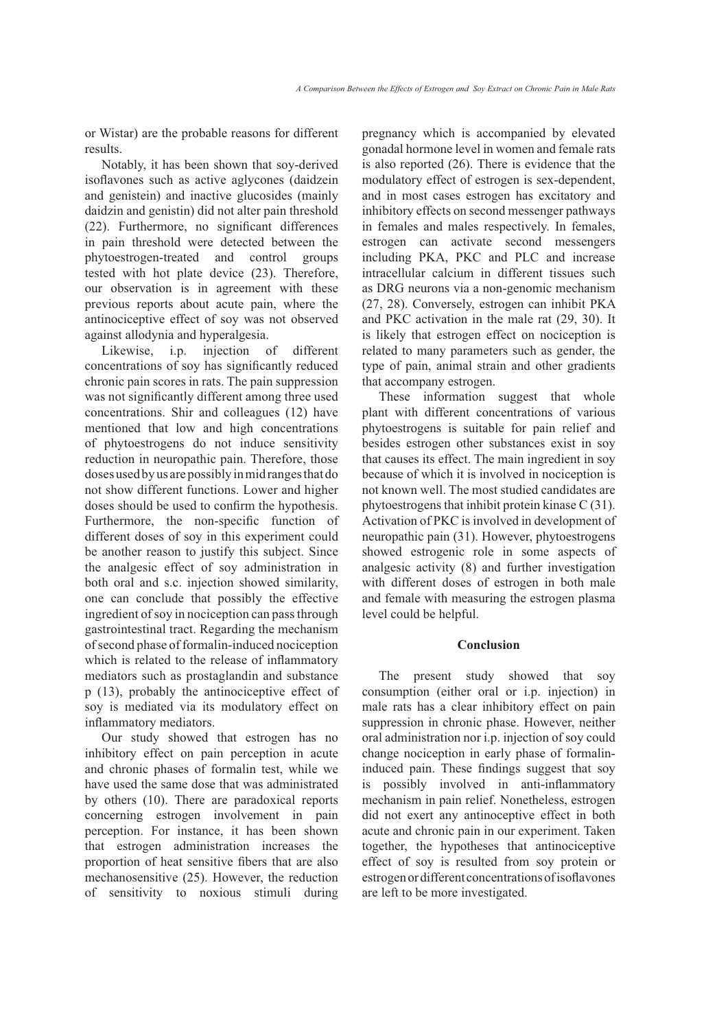or Wistar) are the probable reasons for different results.

Notably, it has been shown that soy-derived isoflavones such as active aglycones (daidzein and genistein) and inactive glucosides (mainly daidzin and genistin) did not alter pain threshold (22). Furthermore, no significant differences in pain threshold were detected between the phytoestrogen-treated and control groups tested with hot plate device (23). Therefore, our observation is in agreement with these previous reports about acute pain, where the antinociceptive effect of soy was not observed against allodynia and hyperalgesia.

Likewise, *i.p.* injection of different concentrations of soy has significantly reduced chronic pain scores in rats. The pain suppression was not significantly different among three used concentrations. Shir and colleagues (12) have mentioned that low and high concentrations of phytoestrogens do not induce sensitivity reduction in neuropathic pain. Therefore, those doses used by us are possibly in mid ranges that do not show different functions. Lower and higher doses should be used to confirm the hypothesis. Furthermore, the non-specific function of different doses of soy in this experiment could be another reason to justify this subject. Since the analgesic effect of soy administration in both oral and s.c. injection showed similarity. one can conclude that possibly the effective ingredient of soy in nociception can pass through gastrointestinal tract. Regarding the mechanism of second phase of formal in-induced nociception which is related to the release of inflammatory mediators such as prostaglandin and substance  $p(13)$ , probably the antinociceptive effect of soy is mediated via its modulatory effect on inflammatory mediators.

Our study showed that estrogen has no inhibitory effect on pain perception in acute and chronic phases of formalin test, while we have used the same dose that was administrated by others (10). There are paradoxical reports concerning estrogen involvement in pain perception. For instance, it has been shown that estrogen administration increases the proportion of heat sensitive fibers that are also mechanosensitive (25). However, the reduction of sensitivity to noxious stimuli during pregnancy which is accompanied by elevated gonadal hormone level in women and female rats is also reported (26). There is evidence that the modulatory effect of estrogen is sex-dependent, and in most cases estrogen has excitatory and inhibitory effects on second messenger pathways in females and males respectively. In females, estrogen can activate second messengers including PKA, PKC and PLC and increase intracellular calcium in different tissues such as DRG neurons via a non-genomic mechanism (27, 28). Conversely, estrogen can inhibit PKA and PKC activation in the male rat (29, 30). It is likely that estrogen effect on nociception is related to many parameters such as gender, the type of pain, animal strain and other gradients that accompany estrogen.

These information suggest that whole plant with different concentrations of various phytoestrogens is suitable for pain relief and besides estrogen other substances exist in soy that causes its effect. The main ingredient in soy because of which it is involved in nociception is not known well. The most studied candidates are phytoestrogens that inhibit protein kinase C (31). Activation of PKC is involved in development of neuropathic pain (31). However, phytoestrogens showed estrogenic role in some aspects of analgesic activity (8) and further investigation with different doses of estrogen in both male and female with measuring the estrogen plasma level could be helpful.

### Conclusion

The present study showed that sov consumption (either oral or i.p. injection) in male rats has a clear inhibitory effect on pain suppression in chronic phase. However, neither oral administration nor i.p. injection of soy could change nociception in early phase of formalininduced pain. These findings suggest that sov possibly involved in anti-inflammatory  $is$ mechanism in pain relief. Nonetheless, estrogen did not exert any antinoceptive effect in both acute and chronic pain in our experiment. Taken together, the hypotheses that antinociceptive effect of soy is resulted from soy protein or estrogen or different concentrations of isoflavones are left to be more investigated.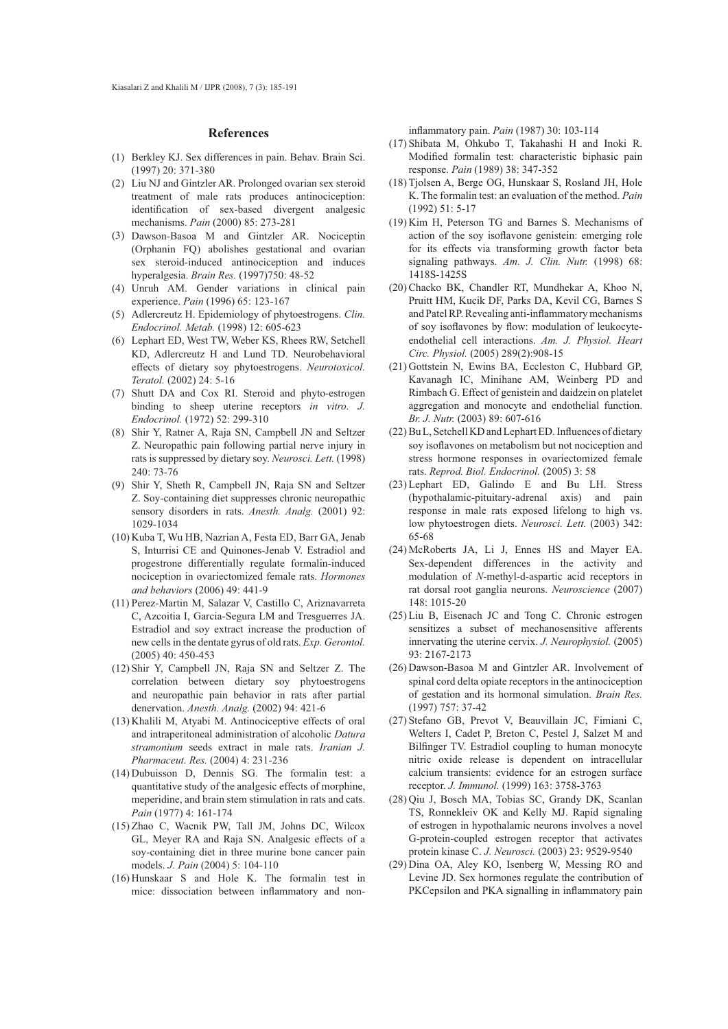#### **References**

- (1) Berkley KJ, Sex differences in pain, Behav, Brain Sci. (1997) 20: 371-380
- (2) Liu NJ and Gintzler AR. Prolonged ovarian sex steroid treatment of male rats produces antinociception: identification of sex-based divergent analgesic mechanisms. Pain (2000) 85: 273-281
- (3) Dawson-Basoa M and Gintzler AR. Nociceptin (Orphanin FQ) abolishes gestational and ovarian sex steroid-induced antinociception and induces hyperalgesia. Brain Res. (1997)750: 48-52
- (4) Unruh AM. Gender variations in clinical pain experience. Pain (1996) 65: 123-167
- (5) Adlercreutz H. Epidemiology of phytoestrogens. Clin. Endocrinol. Metab. (1998) 12: 605-623
- (6) Lephart ED, West TW, Weber KS, Rhees RW, Setchell KD, Adlercreutz H and Lund TD. Neurobehavioral effects of dietary soy phytoestrogens. Neurotoxicol. Teratol. (2002) 24: 5-16
- (7) Shutt DA and Cox RI. Steroid and phyto-estrogen binding to sheep uterine receptors in vitro. J. Endocrinol. (1972) 52: 299-310
- (8) Shir Y, Ratner A, Raja SN, Campbell JN and Seltzer Z. Neuropathic pain following partial nerve injury in rats is suppressed by dietary soy. Neurosci. Lett. (1998) 240: 73-76
- (9) Shir Y, Sheth R, Campbell JN, Raja SN and Seltzer Z. Soy-containing diet suppresses chronic neuropathic sensory disorders in rats. Anesth. Analg. (2001) 92: 1029-1034
- (10) Kuba T, Wu HB, Nazrian A, Festa ED, Barr GA, Jenab S, Inturrisi CE and Quinones-Jenab V. Estradiol and progestrone differentially regulate formalin-induced nociception in ovariectomized female rats. Hormones and behaviors (2006) 49: 441-9
- (11) Perez-Martin M, Salazar V, Castillo C, Ariznavarreta C, Azcoitia I, Garcia-Segura LM and Tresguerres JA. Estradiol and soy extract increase the production of new cells in the dentate gyrus of old rats. Exp. Gerontol.  $(2005)$  40: 450-453
- (12) Shir Y, Campbell JN, Raja SN and Seltzer Z. The correlation between dietary soy phytoestrogens and neuropathic pain behavior in rats after partial denervation. Anesth. Analg. (2002) 94: 421-6
- (13) Khalili M, Atyabi M. Antinociceptive effects of oral and intraperitoneal administration of alcoholic Datura stramonium seeds extract in male rats. Iranian J. Pharmaceut. Res. (2004) 4: 231-236
- (14) Dubuisson D, Dennis SG. The formalin test: a quantitative study of the analgesic effects of morphine, meperidine, and brain stem stimulation in rats and cats. Pain (1977) 4: 161-174
- (15) Zhao C, Wacnik PW, Tall JM, Johns DC, Wilcox GL, Meyer RA and Raja SN. Analgesic effects of a soy-containing diet in three murine bone cancer pain models. J. Pain (2004) 5: 104-110
- (16) Hunskaar S and Hole K. The formalin test in mice: dissociation between inflammatory and non-

inflammatory pain. Pain (1987) 30: 103-114

- (17) Shibata M, Ohkubo T, Takahashi H and Inoki R. Modified formalin test: characteristic biphasic pain response. Pain (1989) 38: 347-352
- (18) Tiolsen A, Berge OG, Hunskaar S, Rosland JH, Hole K. The formal in test: an evaluation of the method. Pain  $(1992)$  51: 5-17
- (19) Kim H, Peterson TG and Barnes S, Mechanisms of action of the soy isoflavone genistein: emerging role for its effects via transforming growth factor beta signaling pathways. Am. J. Clin. Nutr. (1998)  $68$ : 1418S-1425S
- (20) Chacko BK, Chandler RT, Mundhekar A, Khoo N, Pruitt HM, Kucik DF, Parks DA, Kevil CG, Barnes S and Patel RP. Revealing anti-inflammatory mechanisms of soy isoflavones by flow: modulation of leukocyteendothelial cell interactions. Am. J. Physiol. Heart Circ. Physiol. (2005) 289(2):908-15
- (21) Gottstein N, Ewins BA, Eccleston C, Hubbard GP, Kavanagh IC, Minihane AM, Weinberg PD and Rimbach G. Effect of genistein and daidzein on platelet aggregation and monocyte and endothelial function. Br. J. Nutr. (2003) 89: 607-616
- (22) Bu L, Setchell KD and Lephart ED. Influences of dietary soy isoflavones on metabolism but not nociception and stress hormone responses in ovariectomized female rats. Reprod. Biol. Endocrinol. (2005) 3: 58
- (23) Lephart ED, Galindo E and Bu LH. Stress (hypothalamic-pituitary-adrenal axis) and pain response in male rats exposed lifelong to high vs. low phytoestrogen diets. Neurosci. Lett. (2003) 342: 65-68
- (24) McRoberts JA, Li J, Ennes HS and Mayer EA. Sex-dependent differences in the activity and modulation of N-methyl-d-aspartic acid receptors in rat dorsal root ganglia neurons. Neuroscience (2007)  $148:1015-20$
- (25) Liu B, Eisenach JC and Tong C. Chronic estrogen sensitizes a subset of mechanosensitive afferents innervating the uterine cervix. J. Neurophysiol. (2005) 93: 2167-2173
- (26) Dawson-Basoa M and Gintzler AR. Involvement of spinal cord delta opiate receptors in the antinociception of gestation and its hormonal simulation. Brain Res.  $(1997)$  757: 37-42
- (27) Stefano GB, Prevot V, Beauvillain JC, Fimiani C. Welters I, Cadet P, Breton C, Pestel J, Salzet M and Bilfinger TV. Estradiol coupling to human monocyte nitric oxide release is dependent on intracellular calcium transients: evidence for an estrogen surface receptor. J. Immunol. (1999) 163: 3758-3763
- (28) Oiu J, Bosch MA, Tobias SC, Grandy DK, Scanlan TS, Ronnekleiv OK and Kelly MJ. Rapid signaling of estrogen in hypothalamic neurons involves a novel G-protein-coupled estrogen receptor that activates protein kinase C. J. Neurosci. (2003) 23: 9529-9540
- (29) Dina OA, Aley KO, Isenberg W, Messing RO and Levine JD. Sex hormones regulate the contribution of PKCepsilon and PKA signalling in inflammatory pain